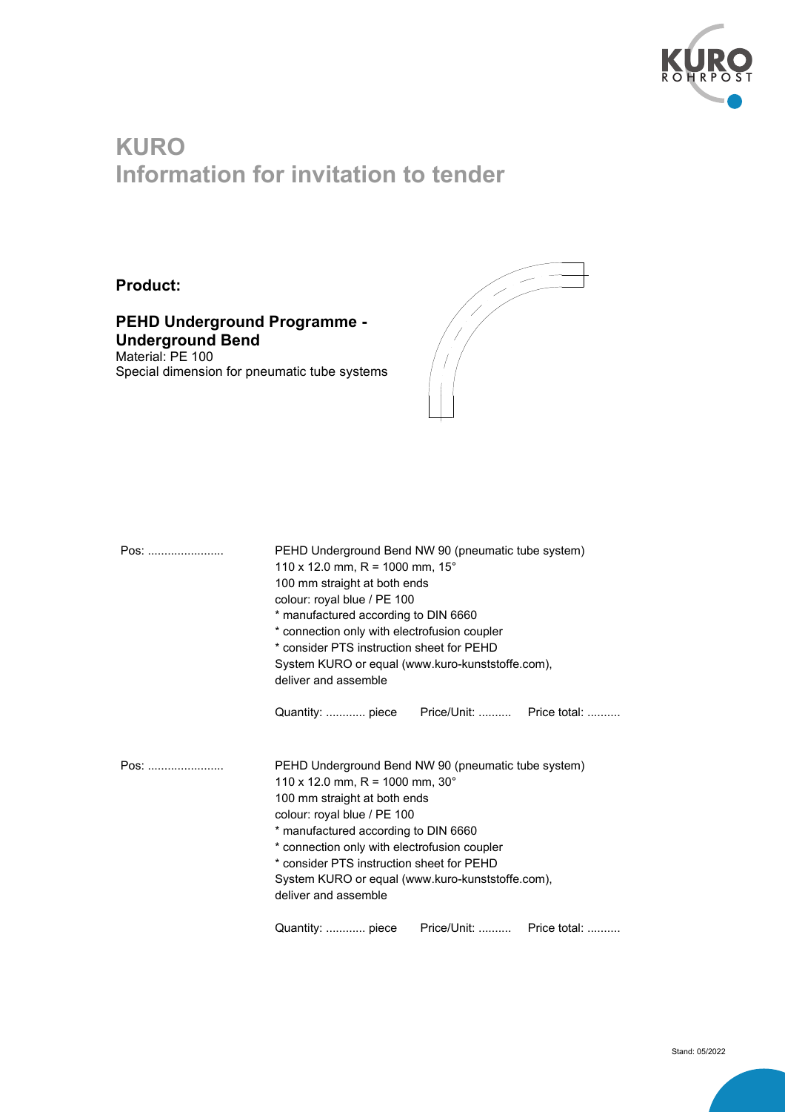

## **KURO Information for invitation to tender**

## **Product:**

## **PEHD Underground Programme - Underground Bend**

Material: PE 100 Special dimension for pneumatic tube systems



| Pos: | PEHD Underground Bend NW 90 (pneumatic tube system)<br>110 x 12.0 mm, R = 1000 mm, $15^{\circ}$<br>100 mm straight at both ends<br>colour: royal blue / PE 100<br>* manufactured according to DIN 6660<br>* connection only with electrofusion coupler<br>* consider PTS instruction sheet for PEHD<br>System KURO or equal (www.kuro-kunststoffe.com),<br>deliver and assemble |  |  |
|------|---------------------------------------------------------------------------------------------------------------------------------------------------------------------------------------------------------------------------------------------------------------------------------------------------------------------------------------------------------------------------------|--|--|
|      | Quantity:  piece Price/Unit:  Price total:                                                                                                                                                                                                                                                                                                                                      |  |  |
| Pos: | PEHD Underground Bend NW 90 (pneumatic tube system)<br>110 x 12.0 mm, R = 1000 mm, $30^{\circ}$<br>100 mm straight at both ends<br>colour: royal blue / PE 100<br>* manufactured according to DIN 6660<br>* connection only with electrofusion coupler<br>* consider PTS instruction sheet for PFHD<br>System KURO or equal (www.kuro-kunststoffe.com),<br>deliver and assemble |  |  |
|      | Quantity:  piece Price/Unit:  Price total:                                                                                                                                                                                                                                                                                                                                      |  |  |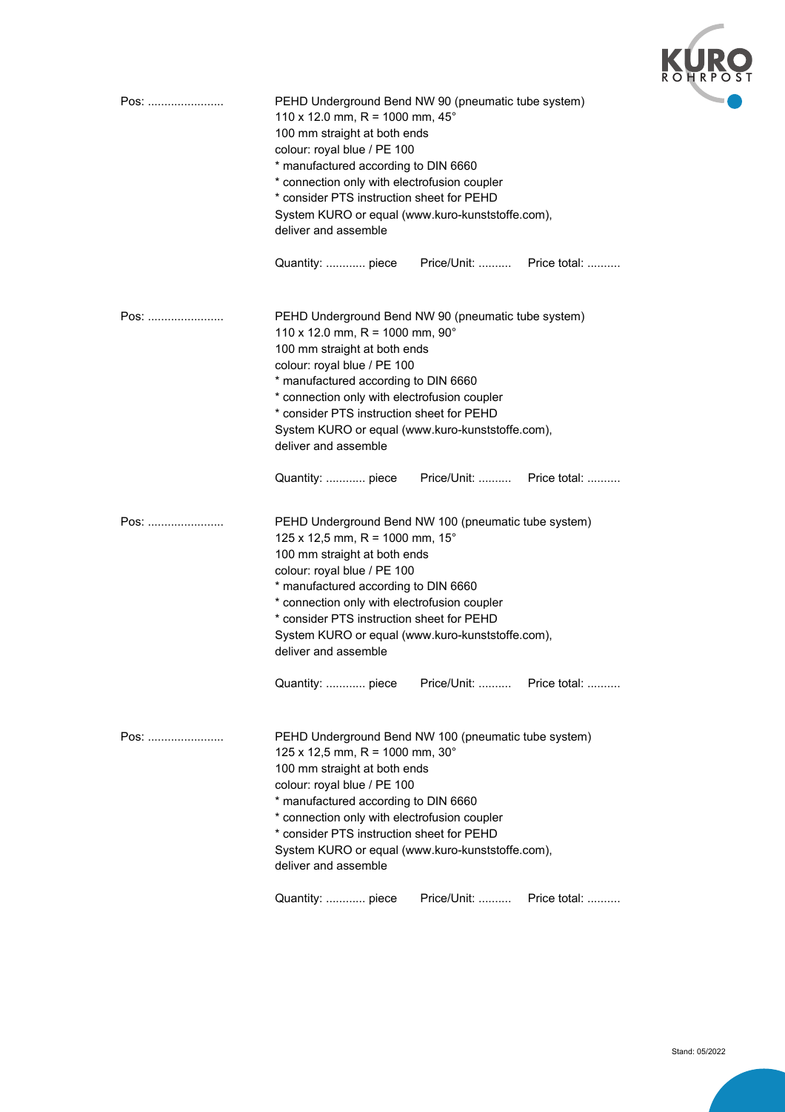

| Pos: | PEHD Underground Bend NW 90 (pneumatic tube system)<br>110 x 12.0 mm, R = 1000 mm, $45^{\circ}$<br>100 mm straight at both ends<br>colour: royal blue / PE 100<br>* manufactured according to DIN 6660<br>* connection only with electrofusion coupler<br>* consider PTS instruction sheet for PEHD<br>System KURO or equal (www.kuro-kunststoffe.com),<br>deliver and assemble  |  |  |
|------|----------------------------------------------------------------------------------------------------------------------------------------------------------------------------------------------------------------------------------------------------------------------------------------------------------------------------------------------------------------------------------|--|--|
|      | Quantity:  piece Price/Unit:  Price total:                                                                                                                                                                                                                                                                                                                                       |  |  |
| Pos: | PEHD Underground Bend NW 90 (pneumatic tube system)<br>110 x 12.0 mm, R = 1000 mm, 90 $^{\circ}$<br>100 mm straight at both ends<br>colour: royal blue / PE 100<br>* manufactured according to DIN 6660<br>* connection only with electrofusion coupler<br>* consider PTS instruction sheet for PEHD<br>System KURO or equal (www.kuro-kunststoffe.com),<br>deliver and assemble |  |  |
|      | Quantity:  piece Price/Unit:  Price total:                                                                                                                                                                                                                                                                                                                                       |  |  |
| Pos: | PEHD Underground Bend NW 100 (pneumatic tube system)<br>125 x 12,5 mm, R = 1000 mm, $15^{\circ}$<br>100 mm straight at both ends<br>colour: royal blue / PE 100<br>* manufactured according to DIN 6660<br>* connection only with electrofusion coupler<br>* consider PTS instruction sheet for PEHD<br>System KURO or equal (www.kuro-kunststoffe.com),<br>deliver and assemble |  |  |
|      | Price/Unit:  Price total:<br>Quantity:  piece                                                                                                                                                                                                                                                                                                                                    |  |  |
| Pos: | PEHD Underground Bend NW 100 (pneumatic tube system)<br>125 x 12,5 mm, R = 1000 mm, $30^{\circ}$<br>100 mm straight at both ends<br>colour: royal blue / PE 100<br>* manufactured according to DIN 6660<br>* connection only with electrofusion coupler<br>* consider PTS instruction sheet for PEHD<br>System KURO or equal (www.kuro-kunststoffe.com),<br>deliver and assemble |  |  |
|      | Price/Unit:  Price total:<br>Quantity:  piece                                                                                                                                                                                                                                                                                                                                    |  |  |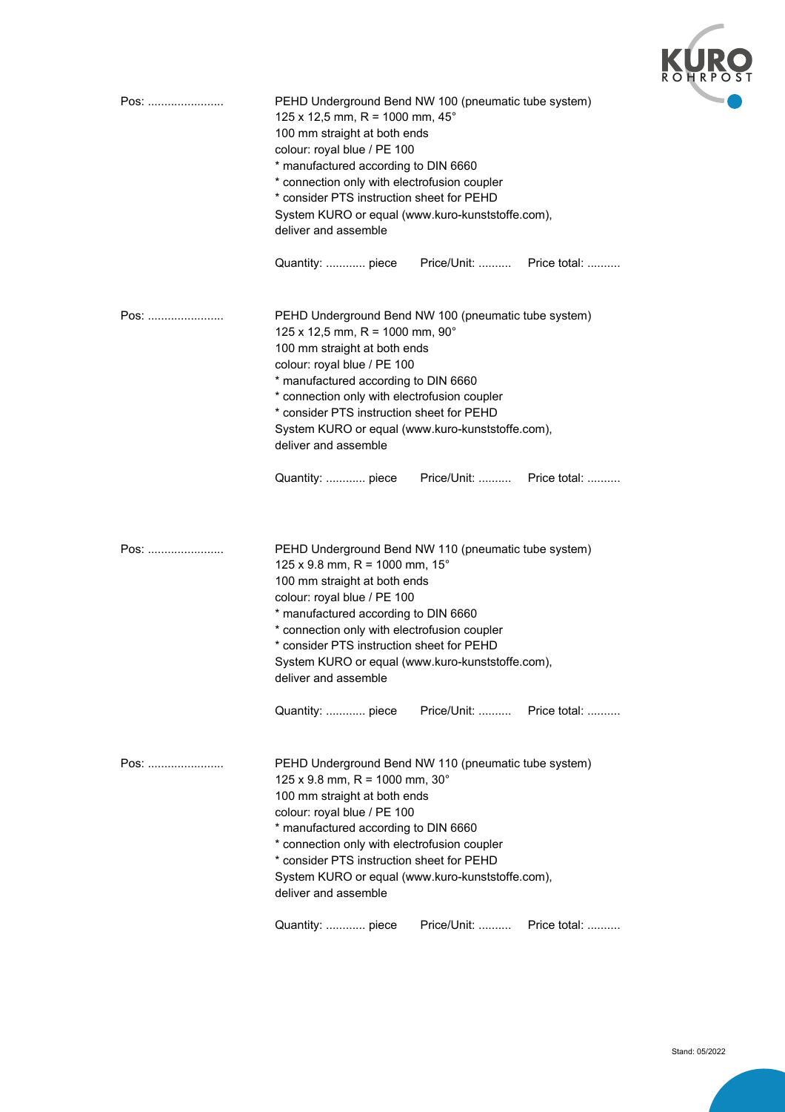

| Pos: | PEHD Underground Bend NW 100 (pneumatic tube system)<br>125 x 12,5 mm, R = 1000 mm, $45^{\circ}$<br>100 mm straight at both ends<br>colour: royal blue / PE 100<br>* manufactured according to DIN 6660<br>* connection only with electrofusion coupler<br>* consider PTS instruction sheet for PEHD<br>System KURO or equal (www.kuro-kunststoffe.com),<br>deliver and assemble<br>Quantity:  piece Price/Unit:  Price total: |  |  |
|------|--------------------------------------------------------------------------------------------------------------------------------------------------------------------------------------------------------------------------------------------------------------------------------------------------------------------------------------------------------------------------------------------------------------------------------|--|--|
|      |                                                                                                                                                                                                                                                                                                                                                                                                                                |  |  |
| Pos: | PEHD Underground Bend NW 100 (pneumatic tube system)<br>125 x 12,5 mm, R = 1000 mm, 90 $^{\circ}$<br>100 mm straight at both ends<br>colour: royal blue / PE 100<br>* manufactured according to DIN 6660<br>* connection only with electrofusion coupler<br>* consider PTS instruction sheet for PEHD<br>System KURO or equal (www.kuro-kunststoffe.com),<br>deliver and assemble                                              |  |  |
|      | Quantity:  piece Price/Unit:  Price total:                                                                                                                                                                                                                                                                                                                                                                                     |  |  |
| Pos: | PEHD Underground Bend NW 110 (pneumatic tube system)<br>125 x 9.8 mm, R = 1000 mm, $15^{\circ}$<br>100 mm straight at both ends<br>colour: royal blue / PE 100<br>* manufactured according to DIN 6660<br>* connection only with electrofusion coupler<br>* consider PTS instruction sheet for PEHD<br>System KURO or equal (www.kuro-kunststoffe.com),<br>deliver and assemble<br>Quantity:  piece Price/Unit:  Price total:  |  |  |
|      |                                                                                                                                                                                                                                                                                                                                                                                                                                |  |  |
| Pos: | PEHD Underground Bend NW 110 (pneumatic tube system)<br>125 x 9.8 mm, R = 1000 mm, $30^{\circ}$<br>100 mm straight at both ends<br>colour: royal blue / PE 100<br>* manufactured according to DIN 6660<br>* connection only with electrofusion coupler<br>* consider PTS instruction sheet for PEHD<br>System KURO or equal (www.kuro-kunststoffe.com),<br>deliver and assemble                                                |  |  |
|      | Price/Unit:<br>Price total:<br>Quantity:  piece                                                                                                                                                                                                                                                                                                                                                                                |  |  |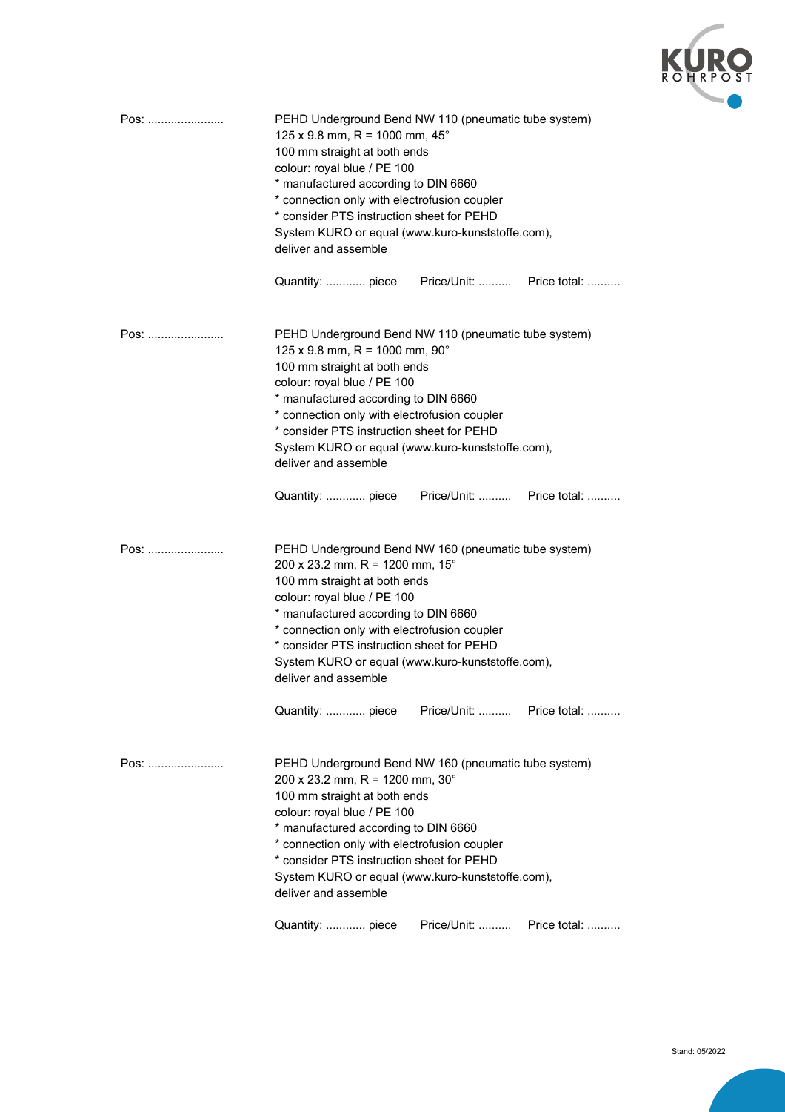

| Pos: | PEHD Underground Bend NW 110 (pneumatic tube system)<br>125 x 9.8 mm, R = 1000 mm, $45^{\circ}$<br>100 mm straight at both ends<br>colour: royal blue / PE 100<br>* manufactured according to DIN 6660<br>* connection only with electrofusion coupler<br>* consider PTS instruction sheet for PEHD<br>System KURO or equal (www.kuro-kunststoffe.com),<br>deliver and assemble<br>Quantity:  piece Price/Unit:  Price total: |  |  |
|------|-------------------------------------------------------------------------------------------------------------------------------------------------------------------------------------------------------------------------------------------------------------------------------------------------------------------------------------------------------------------------------------------------------------------------------|--|--|
| Pos: | PEHD Underground Bend NW 110 (pneumatic tube system)<br>125 x 9.8 mm, R = 1000 mm, 90 $^{\circ}$<br>100 mm straight at both ends<br>colour: royal blue / PE 100<br>* manufactured according to DIN 6660<br>* connection only with electrofusion coupler<br>* consider PTS instruction sheet for PEHD<br>System KURO or equal (www.kuro-kunststoffe.com),<br>deliver and assemble                                              |  |  |
|      | Quantity:  piece Price/Unit:  Price total:                                                                                                                                                                                                                                                                                                                                                                                    |  |  |
| Pos: | PEHD Underground Bend NW 160 (pneumatic tube system)<br>200 x 23.2 mm, R = 1200 mm, $15^{\circ}$<br>100 mm straight at both ends<br>colour: royal blue / PE 100<br>* manufactured according to DIN 6660<br>* connection only with electrofusion coupler<br>* consider PTS instruction sheet for PEHD<br>System KURO or equal (www.kuro-kunststoffe.com),<br>deliver and assemble                                              |  |  |
|      | Quantity:  piece<br>Price/Unit:  Price total:                                                                                                                                                                                                                                                                                                                                                                                 |  |  |
| Pos: | PEHD Underground Bend NW 160 (pneumatic tube system)<br>200 x 23.2 mm, R = 1200 mm, $30^{\circ}$<br>100 mm straight at both ends<br>colour: royal blue / PE 100<br>* manufactured according to DIN 6660<br>* connection only with electrofusion coupler<br>* consider PTS instruction sheet for PEHD<br>System KURO or equal (www.kuro-kunststoffe.com),<br>deliver and assemble                                              |  |  |
|      | Price/Unit:<br>Quantity:  piece<br>Price total:                                                                                                                                                                                                                                                                                                                                                                               |  |  |